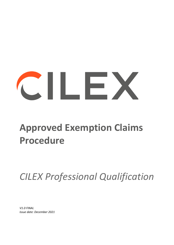# CILEX

## **Approved Exemption Claims Procedure**

*CILEX Professional Qualification* 

*V1.0 FINAL Issue date: December 2021*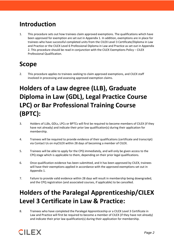#### **Introduction**

1. This procedure sets out how trainees claim approved exemptions. The qualifications which have been approved for exemption are set out in Appendix 1. In addition, exemptions are in place for trainees who have successful completed units from the CILEX Level 3 Certificate/Diploma in Law and Practice or the CILEX Level 6 Professional Diploma in Law and Practice as set out in Appendix 2. This procedure should be read in conjunction with the CILEX Exemptions Policy – CILEX Professional Qualification.

#### **Scope**

2. This procedure applies to trainees seeking to claim approved exemptions, and CILEX staff involved in processing and assessing approved exemption claims.

## **Holders of a Law degree (LLB), Graduate Diploma in Law (GDL), Legal Practice Course LPC) or Bar Professional Training Course (BPTC):**

- 3. Holders of LLBs, GDLs, LPCs or BPTCs will first be required to become members of CILEX (if they have not already) and indicate their prior law qualification(s) during their application for membership.
- 4. Trainees will be required to provide evidence of their qualifications (certificate and transcript) via Contact Us on myCILEX within 28 days of becoming a member of CILEX.
- 5. Trainees will be able to apply for the CPQ immediately, and will only be given access to the CPQ stage which is applicable to them, depending on their prior legal qualifications.
- 6. Once qualification evidence has been submitted, and it has been approved by CILEX, trainees will have their exemptions applied in accordance with the approved exemptions set out in Appendix 1.
- 7. Failure to provide valid evidence within 28 days will result in membership being downgraded, and the CPQ registration (and associated courses, if applicable) to be cancelled.

### **Holders of the Paralegal Apprenticeship/CILEX Level 3 Certificate in Law & Practice:**

8. Trainees who have completed the Paralegal Apprenticeship or a CILEX Level 3 Certificate in Law and Practice will first be required to become a member of CILEX (if they have not already) and indicate their prior law qualification(s) during their application for membership.

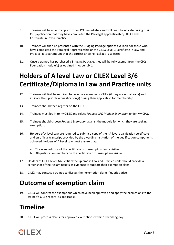- 9. Trainees will be able to apply for the CPQ immediately and will need to indicate during their CPQ application that they have completed the Paralegal apprenticeship/CILEX Level 3 Certificate in Law & Practice.
- 10. Trainees will then be presented with the Bridging Package options available for those who have completed the Paralegal Apprenticeship or the CILEX Level 3 Certificate in Law and Practice. It is paramount that the correct Bridging Package is selected.
- 11. Once a trainee has purchased a Bridging Package, they will be fully exempt from the CPQ Foundation module(s) as outlined in Appendix 1.

## **Holders of A level Law or CILEX Level 3/6 Certificate/Diploma in Law and Practice units**

- 12. Trainees will first be required to become a member of CILEX (if they are not already) and indicate their prior law qualification(s) during their application for membership.
- 13. Trainees should then register on the CPQ.
- 14. Trainees must log in to myCILEX and select *Request CPQ Module Exemption* under My CPQ.
- 15. Trainees should choose *Request Exemption* against the module for which they are seeking exemption.
- 16. Holders of A level Law are required to submit a copy of their A level qualification certificate and an official transcript provided by the awarding institution of the qualification components achieved. Holders of A Level Law must ensure that:
	- a. The scanned copy of the certificate or transcript is clearly visible
	- b. All qualification numbers on the certificate or transcript are visible
- 17. Holders of CILEX Level 3/6 Certificate/Diploma in Law and Practice units should provide a screenshot of their exam results as evidence to support their exemption claim.
- 18. CILEX may contact a trainee to discuss their exemption claim if queries arise.

#### **Outcome of exemption claim**

19. CILEX will confirm the exemptions which have been approved and apply the exemptions to the trainee's CILEX record, as applicable.

#### **Timeline**

20. CILEX will process claims for approved exemptions within 10 working days.

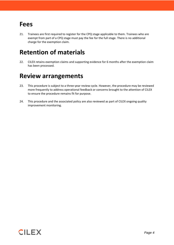#### **Fees**

21. Trainees are first required to register for the CPQ stage applicable to them. Trainees who are exempt from part of a CPQ stage must pay the fee for the full stage. There is no additional charge for the exemption claim.

#### **Retention of materials**

22. CILEX retains exemption claims and supporting evidence for 6 months after the exemption claim has been processed.

#### **Review arrangements**

- 23. This procedure is subject to a three-year review cycle. However, the procedure may be reviewed more frequently to address operational feedback or concerns brought to the attention of CILEX to ensure the procedure remains fit for purpose.
- 24. This procedure and the associated policy are also reviewed as part of CILEX ongoing quality improvement monitoring.

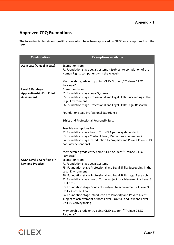#### **Approved CPQ Exemptions**

The following table sets out qualifications which have been approved by CILEX for exemptions from the CPQ.

| <b>Qualification</b>                | <b>Exemptions available</b>                                              |  |  |
|-------------------------------------|--------------------------------------------------------------------------|--|--|
|                                     |                                                                          |  |  |
| A2 in Law (A level in Law)          | Exemption from:                                                          |  |  |
|                                     | F1 Foundation stage Legal Systems - (subject to completion of the        |  |  |
|                                     | Human Rights component with the A level)                                 |  |  |
|                                     |                                                                          |  |  |
|                                     | Membership grade entry point: CILEX Student/"Trainee CILEX               |  |  |
|                                     | Paralegal".                                                              |  |  |
| Level 3 Paralegal                   | Exemption from:                                                          |  |  |
| <b>Apprenticeship End Point</b>     | F1 Foundation stage Legal Systems                                        |  |  |
| <b>Assessment</b>                   | F5 Foundation stage Professional and Legal Skills: Succeeding in the     |  |  |
|                                     | Legal Environment                                                        |  |  |
|                                     | F6 Foundation stage Professional and Legal Skills: Legal Research        |  |  |
|                                     | Foundation stage Professional Experience                                 |  |  |
|                                     |                                                                          |  |  |
|                                     | Ethics and Professional Responsibility 1                                 |  |  |
|                                     | Possible exemptions from:                                                |  |  |
|                                     | F2 Foundation stage Law of Tort (EPA pathway dependant)                  |  |  |
|                                     | F3 Foundation stage Contract Law (EPA pathway dependant)                 |  |  |
|                                     | F4 Foundation stage Introduction to Property and Private Client (EPA     |  |  |
|                                     | pathway dependant)                                                       |  |  |
|                                     |                                                                          |  |  |
|                                     | Membership grade entry point: CILEX Student/"Trainee CILEX<br>Paralegal" |  |  |
| <b>CILEX Level 3 Certificate in</b> | Exemption from:                                                          |  |  |
| <b>Law and Practice</b>             | F1 Foundation stage Legal Systems                                        |  |  |
|                                     | F5: Foundation stage Professional and Legal Skills: Succeeding in the    |  |  |
|                                     | Legal Environment                                                        |  |  |
|                                     | F6: Foundation stage Professional and Legal Skills: Legal Research       |  |  |
|                                     | F2 Foundation stage Law of Tort - subject to achievement of Level 3      |  |  |
|                                     | Unit 5 Tort                                                              |  |  |
|                                     | F3: Foundation stage Contract - subject to achievement of Level 3        |  |  |
|                                     | Unit 2 Contract Law                                                      |  |  |
|                                     | F4: Foundation stage Introduction to Property and Private Client -       |  |  |
|                                     | subject to achievement of both Level 3 Unit 4 Land Law and Level 3       |  |  |
|                                     | Unit 10 Conveyancing                                                     |  |  |
|                                     |                                                                          |  |  |
|                                     | Membership grade entry point: CILEX Student/"Trainee CILEX<br>Paralegal" |  |  |

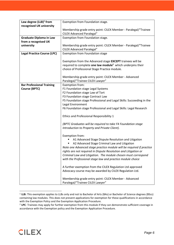| Law degree $(LLB)^1$ from                                | Exemption from Foundation stage.                                                                                                                                                                                                                                                                                                                                                                                                                                                                                                                                                                                                                                                                                                                                                                                                                                                                                                                                                                                                                                                       |  |
|----------------------------------------------------------|----------------------------------------------------------------------------------------------------------------------------------------------------------------------------------------------------------------------------------------------------------------------------------------------------------------------------------------------------------------------------------------------------------------------------------------------------------------------------------------------------------------------------------------------------------------------------------------------------------------------------------------------------------------------------------------------------------------------------------------------------------------------------------------------------------------------------------------------------------------------------------------------------------------------------------------------------------------------------------------------------------------------------------------------------------------------------------------|--|
| recognised UK university                                 |                                                                                                                                                                                                                                                                                                                                                                                                                                                                                                                                                                                                                                                                                                                                                                                                                                                                                                                                                                                                                                                                                        |  |
|                                                          | Membership grade entry point: CILEX Member - Paralegal/"Trainee                                                                                                                                                                                                                                                                                                                                                                                                                                                                                                                                                                                                                                                                                                                                                                                                                                                                                                                                                                                                                        |  |
|                                                          | <b>CILEX Advanced Paralegal"</b>                                                                                                                                                                                                                                                                                                                                                                                                                                                                                                                                                                                                                                                                                                                                                                                                                                                                                                                                                                                                                                                       |  |
| <b>Graduate Diploma in Law</b>                           | Exemption from Foundation stage.                                                                                                                                                                                                                                                                                                                                                                                                                                                                                                                                                                                                                                                                                                                                                                                                                                                                                                                                                                                                                                                       |  |
| from a recognised UK                                     |                                                                                                                                                                                                                                                                                                                                                                                                                                                                                                                                                                                                                                                                                                                                                                                                                                                                                                                                                                                                                                                                                        |  |
| university                                               | Membership grade entry point: CILEX Member - Paralegal/"Trainee                                                                                                                                                                                                                                                                                                                                                                                                                                                                                                                                                                                                                                                                                                                                                                                                                                                                                                                                                                                                                        |  |
|                                                          | <b>CILEX Advanced Paralegal"</b>                                                                                                                                                                                                                                                                                                                                                                                                                                                                                                                                                                                                                                                                                                                                                                                                                                                                                                                                                                                                                                                       |  |
| <b>Legal Practice Course (LPC)</b>                       | <b>Exemption from Foundation stage</b>                                                                                                                                                                                                                                                                                                                                                                                                                                                                                                                                                                                                                                                                                                                                                                                                                                                                                                                                                                                                                                                 |  |
|                                                          | Exemption from the Advanced stage EXCEPT trainees will be<br>required to complete one law module <sup>2</sup> which underpins their<br>choice of Professional Stage Practice module.                                                                                                                                                                                                                                                                                                                                                                                                                                                                                                                                                                                                                                                                                                                                                                                                                                                                                                   |  |
|                                                          | Membership grade entry point: CILEX Member - Advanced<br>Paralegal/"Trainee CILEX Lawyer"                                                                                                                                                                                                                                                                                                                                                                                                                                                                                                                                                                                                                                                                                                                                                                                                                                                                                                                                                                                              |  |
| <b>Bar Professional Training</b><br><b>Course (BPTC)</b> | Exemption from:<br>F1 Foundation stage Legal Systems<br>F2 Foundation stage Law of Tort<br>F3 Foundation stage Contract Law<br>F5 Foundation stage Professional and Legal Skills: Succeeding in the<br>Legal Environment<br>F6 Foundation stage Professional and Legal Skills: Legal Research<br>Ethics and Professional Responsibility 1<br>(BPTC Graduates will be required to take F4 Foundation stage<br>Introduction to Property and Private Client).<br>Exemption from:<br>A1 Advanced Stage Dispute Resolution and Litigation<br>A2 Advanced Stage Criminal Law and Litigation<br>Note one Advanced stage practice module will be required if practice<br>rights are not required in Dispute Resolution and Litigation or<br>Criminal Law and Litigation. The module chosen must correspond<br>with the Professional stage law and practice module choice<br>A further exemption from the CILEX Regulation Ltd approved<br>Advocacy course may be awarded by CILEX Regulation Ltd.<br>Membership grade entry point: CILEX Member - Advanced<br>Paralegal/"Trainee CILEX Lawyer" |  |

<sup>1</sup> **LLB:** This exemption applies to LLBs only and not to Bachelor of Arts (BAs) or Bachelor of Science degrees (BScs) containing law modules. This does not prevent applications for exemption for these qualifications in accordance with the Exemption Policy and the Exemption Application Procedure.



<sup>2</sup> **LPC**: Trainees may apply for further exemption from this module if they can demonstrate sufficient coverage in accordance with the Exemption policy and the Exemption Application Procedure.